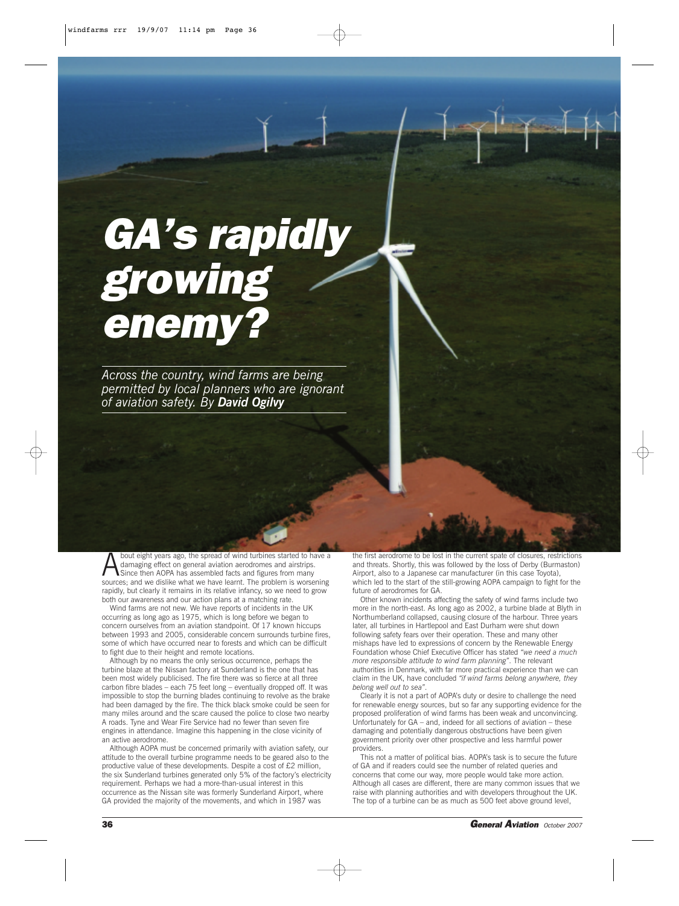# *GA's rapidly growing enemy?*

*Across the country, wind farms are being permitted by local planners who are ignorant of aviation safety. By David Ogilvy*

bout eight years ago, the spread of wind turbines started to have a damaging effect on general aviation aerodromes and airstrips. Since then AOPA has assembled facts and figures from many sources; and we dislike what we have learnt. The problem is worsening rapidly, but clearly it remains in its relative infancy, so we need to grow both our awareness and our action plans at a matching rate.

Wind farms are not new. We have reports of incidents in the UK occurring as long ago as 1975, which is long before we began to concern ourselves from an aviation standpoint. Of 17 known hiccups between 1993 and 2005, considerable concern surrounds turbine fires, some of which have occurred near to forests and which can be difficult to fight due to their height and remote locations.

Although by no means the only serious occurrence, perhaps the turbine blaze at the Nissan factory at Sunderland is the one that has been most widely publicised. The fire there was so fierce at all three carbon fibre blades – each 75 feet long – eventually dropped off. It was impossible to stop the burning blades continuing to revolve as the brake had been damaged by the fire. The thick black smoke could be seen for many miles around and the scare caused the police to close two nearby A roads. Tyne and Wear Fire Service had no fewer than seven fire engines in attendance. Imagine this happening in the close vicinity of an active aerodrome.

Although AOPA must be concerned primarily with aviation safety, our attitude to the overall turbine programme needs to be geared also to the productive value of these developments. Despite a cost of £2 million, the six Sunderland turbines generated only 5% of the factory's electricity requirement. Perhaps we had a more-than-usual interest in this occurrence as the Nissan site was formerly Sunderland Airport, where GA provided the majority of the movements, and which in 1987 was

the first aerodrome to be lost in the current spate of closures, restrictions and threats. Shortly, this was followed by the loss of Derby (Burmaston) Airport, also to a Japanese car manufacturer (in this case Toyota), which led to the start of the still-growing AOPA campaign to fight for the future of aerodromes for GA.

Other known incidents affecting the safety of wind farms include two more in the north-east. As long ago as 2002, a turbine blade at Blyth in Northumberland collapsed, causing closure of the harbour. Three years later, all turbines in Hartlepool and East Durham were shut down following safety fears over their operation. These and many other mishaps have led to expressions of concern by the Renewable Energy Foundation whose Chief Executive Officer has stated *"we need a much more responsible attitude to wind farm planning"*. The relevant authorities in Denmark, with far more practical experience than we can claim in the UK, have concluded *"if wind farms belong anywhere, they belong well out to sea"*.

Clearly it is not a part of AOPA's duty or desire to challenge the need for renewable energy sources, but so far any supporting evidence for the proposed proliferation of wind farms has been weak and unconvincing. Unfortunately for GA – and, indeed for all sections of aviation – these damaging and potentially dangerous obstructions have been given government priority over other prospective and less harmful power providers.

This not a matter of political bias. AOPA's task is to secure the future of GA and if readers could see the number of related queries and concerns that come our way, more people would take more action. Although all cases are different, there are many common issues that we raise with planning authorities and with developers throughout the UK. The top of a turbine can be as much as 500 feet above ground level,